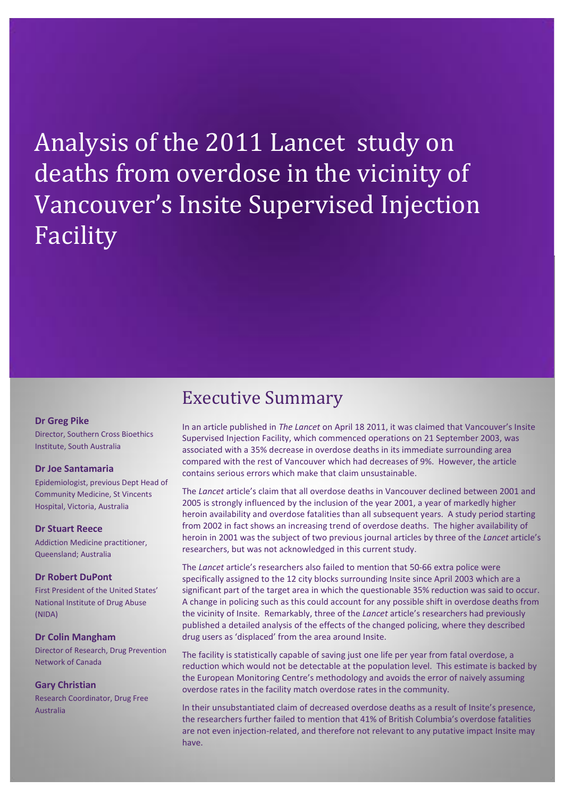Analysis of the 2011 Lancet study on deaths from overdose in the vicinity of Vancouver's Insite Supervised Injection Facility

# Executive Summary

#### **Dr Greg Pike**

Director, Southern Cross Bioethics Institute, South Australia

#### **Dr Joe Santamaria**

Epidemiologist, previous Dept Head of Community Medicine, St Vincents Hospital, Victoria, Australia

#### **Dr Stuart Reece**

Addiction Medicine practitioner, Queensland; Australia

### **Dr Robert DuPont**

First President of the United States' National Institute of Drug Abuse (NIDA)

#### **Dr Colin Mangham**

Director of Research, Drug Prevention Network of Canada

#### **Gary Christian**

Research Coordinator, Drug Free Australia

In an article published in *The Lancet* on April 18 2011, it was claimed that Vancouver's Insite Supervised Injection Facility, which commenced operations on 21 September 2003, was associated with a 35% decrease in overdose deaths in its immediate surrounding area compared with the rest of Vancouver which had decreases of 9%. However, the article contains serious errors which make that claim unsustainable.

The *Lancet* article's claim that all overdose deaths in Vancouver declined between 2001 and 2005 is strongly influenced by the inclusion of the year 2001, a year of markedly higher heroin availability and overdose fatalities than all subsequent years. A study period starting from 2002 in fact shows an increasing trend of overdose deaths. The higher availability of heroin in 2001 was the subject of two previous journal articles by three of the *Lancet* article's researchers, but was not acknowledged in this current study.

The *Lancet* article's researchers also failed to mention that 50-66 extra police were specifically assigned to the 12 city blocks surrounding Insite since April 2003 which are a significant part of the target area in which the questionable 35% reduction was said to occur. A change in policing such as this could account for any possible shift in overdose deaths from the vicinity of Insite. Remarkably, three of the *Lancet* article's researchers had previously published a detailed analysis of the effects of the changed policing, where they described drug users as 'displaced' from the area around Insite.

The facility is statistically capable of saving just one life per year from fatal overdose, a reduction which would not be detectable at the population level. This estimate is backed by the European Monitoring Centre's methodology and avoids the error of naively assuming overdose rates in the facility match overdose rates in the community.

In their unsubstantiated claim of decreased overdose deaths as a result of Insite's presence, the researchers further failed to mention that 41% of British Columbia's overdose fatalities are not even injection-related, and therefore not relevant to any putative impact Insite may have.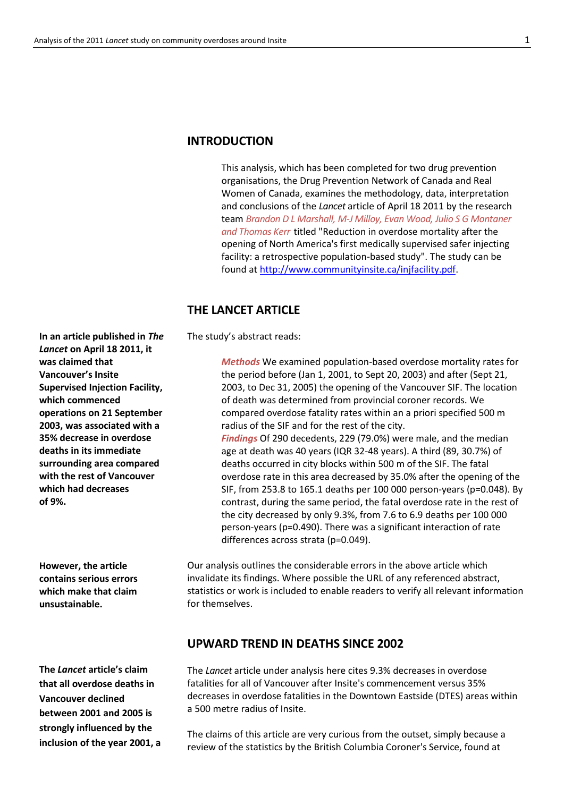### **INTRODUCTION**

This analysis, which has been completed for two drug prevention organisations, the Drug Prevention Network of Canada and Real Women of Canada, examines the methodology, data, interpretation and conclusions of the *Lancet* article of April 18 2011 by the research team *Brandon D L Marshall, M-J Milloy, Evan Wood, Julio S G Montaner and Thomas Kerr* titled "Reduction in overdose mortality after the opening of North America's first medically supervised safer injecting facility: a retrospective population-based study". The study can be found at [http://www.communityinsite.ca/injfacility.pdf.](http://www.communityinsite.ca/injfacility.pdf)

### **THE LANCET ARTICLE**

The study's abstract reads:

*Methods* We examined population-based overdose mortality rates for the period before (Jan 1, 2001, to Sept 20, 2003) and after (Sept 21, 2003, to Dec 31, 2005) the opening of the Vancouver SIF. The location of death was determined from provincial coroner records. We compared overdose fatality rates within an a priori specified 500 m radius of the SIF and for the rest of the city. *Findings* Of 290 decedents, 229 (79.0%) were male, and the median age at death was 40 years (IQR 32-48 years). A third (89, 30.7%) of deaths occurred in city blocks within 500 m of the SIF. The fatal overdose rate in this area decreased by 35.0% after the opening of the SIF, from 253.8 to 165.1 deaths per 100 000 person-years (p=0.048). By contrast, during the same period, the fatal overdose rate in the rest of the city decreased by only 9.3%, from 7.6 to 6.9 deaths per 100 000 person-years (p=0.490). There was a significant interaction of rate differences across strata (p=0.049).

Our analysis outlines the considerable errors in the above article which invalidate its findings. Where possible the URL of any referenced abstract, statistics or work is included to enable readers to verify all relevant information for themselves.

### **UPWARD TREND IN DEATHS SINCE 2002**

The *Lancet* article under analysis here cites 9.3% decreases in overdose fatalities for all of Vancouver after Insite's commencement versus 35% decreases in overdose fatalities in the Downtown Eastside (DTES) areas within a 500 metre radius of Insite.

The claims of this article are very curious from the outset, simply because a review of the statistics by the British Columbia Coroner's Service, found at

**In an article published in** *The Lancet* **on April 18 2011, it was claimed that Vancouver's Insite Supervised Injection Facility, which commenced operations on 21 September 2003, was associated with a 35% decrease in overdose deaths in its immediate surrounding area compared with the rest of Vancouver which had decreases of 9%.**

**However, the article contains serious errors which make that claim unsustainable.**

**The** *Lancet* **article's claim that all overdose deaths in Vancouver declined between 2001 and 2005 is strongly influenced by the inclusion of the year 2001, a**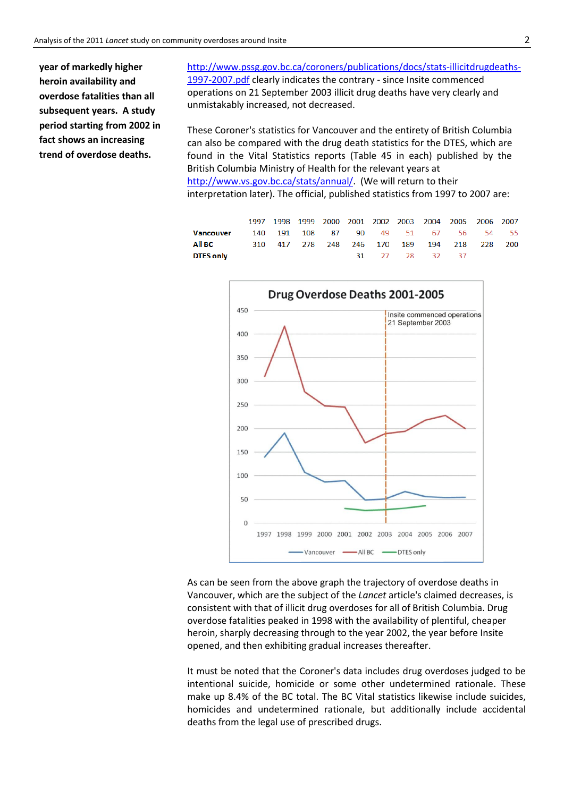**year of markedly higher heroin availability and overdose fatalities than all subsequent years. A study period starting from 2002 in fact shows an increasing trend of overdose deaths.** 

[http://www.pssg.gov.bc.ca/coroners/publications/docs/stats-illicitdrugdeaths-](http://www.pssg.gov.bc.ca/coroners/publications/docs/stats-illicitdrugdeaths-1997-2007.pdf)[1997-2007.pdf](http://www.pssg.gov.bc.ca/coroners/publications/docs/stats-illicitdrugdeaths-1997-2007.pdf) clearly indicates the contrary - since Insite commenced operations on 21 September 2003 illicit drug deaths have very clearly and unmistakably increased, not decreased.

These Coroner's statistics for Vancouver and the entirety of British Columbia can also be compared with the drug death statistics for the DTES, which are found in the Vital Statistics reports (Table 45 in each) published by the British Columbia Ministry of Health for the relevant years at [http://www.vs.gov.bc.ca/stats/annual/.](http://www.vs.gov.bc.ca/stats/annual/) (We will return to their interpretation later). The official, published statistics from 1997 to 2007 are:

|                     |  |  |  |                | 1997 1998 1999 2000 2001 2002 2003 2004 2005 2006 2007 |  |
|---------------------|--|--|--|----------------|--------------------------------------------------------|--|
| Vancouver           |  |  |  |                | 140 191 108 87 90 49 51 67 56 54 55                    |  |
| All BC <b>All B</b> |  |  |  |                | 310 417 278 248 246 170 189 194 218 228 200            |  |
| DTES only           |  |  |  | 31 27 28 32 37 |                                                        |  |



As can be seen from the above graph the trajectory of overdose deaths in Vancouver, which are the subject of the *Lancet* article's claimed decreases, is consistent with that of illicit drug overdoses for all of British Columbia. Drug overdose fatalities peaked in 1998 with the availability of plentiful, cheaper heroin, sharply decreasing through to the year 2002, the year before Insite opened, and then exhibiting gradual increases thereafter.

It must be noted that the Coroner's data includes drug overdoses judged to be intentional suicide, homicide or some other undetermined rationale. These make up 8.4% of the BC total. The BC Vital statistics likewise include suicides, homicides and undetermined rationale, but additionally include accidental deaths from the legal use of prescribed drugs.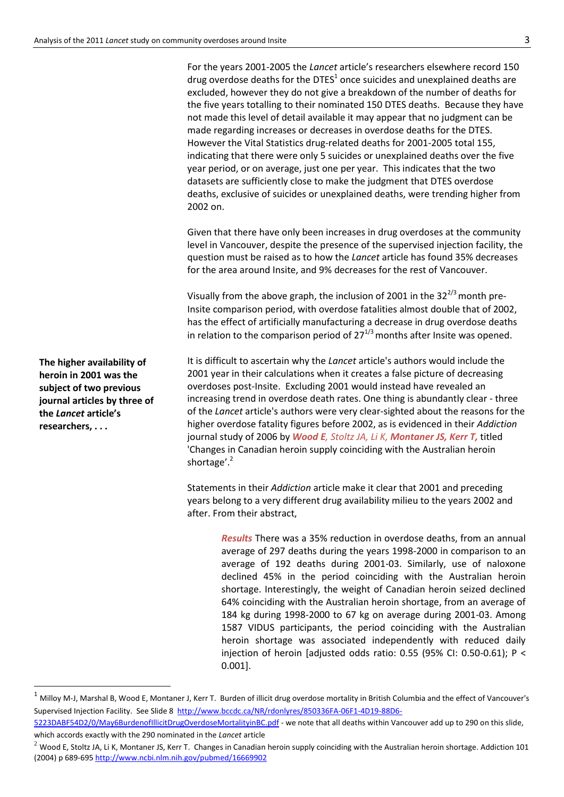For the years 2001-2005 the *Lancet* article's researchers elsewhere record 150 drug overdose deaths for the DTES<sup>1</sup> once suicides and unexplained deaths are excluded, however they do not give a breakdown of the number of deaths for the five years totalling to their nominated 150 DTES deaths. Because they have not made this level of detail available it may appear that no judgment can be made regarding increases or decreases in overdose deaths for the DTES. However the Vital Statistics drug-related deaths for 2001-2005 total 155, indicating that there were only 5 suicides or unexplained deaths over the five year period, or on average, just one per year. This indicates that the two datasets are sufficiently close to make the judgment that DTES overdose deaths, exclusive of suicides or unexplained deaths, were trending higher from 2002 on.

Given that there have only been increases in drug overdoses at the community level in Vancouver, despite the presence of the supervised injection facility, the question must be raised as to how the *Lancet* article has found 35% decreases for the area around Insite, and 9% decreases for the rest of Vancouver.

Visually from the above graph, the inclusion of 2001 in the  $32^{2/3}$  month pre-Insite comparison period, with overdose fatalities almost double that of 2002, has the effect of artificially manufacturing a decrease in drug overdose deaths in relation to the comparison period of  $27^{1/3}$  months after Insite was opened.

It is difficult to ascertain why the *Lancet* article's authors would include the 2001 year in their calculations when it creates a false picture of decreasing overdoses post-Insite. Excluding 2001 would instead have revealed an increasing trend in overdose death rates. One thing is abundantly clear - three of the *Lancet* article's authors were very clear-sighted about the reasons for the higher overdose fatality figures before 2002, as is evidenced in their *Addiction*  journal study of 2006 by *Wood E, Stoltz JA, Li K, Montaner JS, Kerr T,* titled 'Changes in Canadian heroin supply coinciding with the Australian heroin shortage'.<sup>2</sup>

Statements in their *Addiction* article make it clear that 2001 and preceding years belong to a very different drug availability milieu to the years 2002 and after. From their abstract,

> *Results* There was a 35% reduction in overdose deaths, from an annual average of 297 deaths during the years 1998-2000 in comparison to an average of 192 deaths during 2001-03. Similarly, use of naloxone declined 45% in the period coinciding with the Australian heroin shortage. Interestingly, the weight of Canadian heroin seized declined 64% coinciding with the Australian heroin shortage, from an average of 184 kg during 1998-2000 to 67 kg on average during 2001-03. Among 1587 VIDUS participants, the period coinciding with the Australian heroin shortage was associated independently with reduced daily injection of heroin [adjusted odds ratio: 0.55 (95% CI: 0.50-0.61); P < 0.001].

**The higher availability of heroin in 2001 was the subject of two previous journal articles by three of the** *Lancet* **article's researchers, . . .**

 $\overline{a}$ 

 $1$  Milloy M-J, Marshal B, Wood E, Montaner J, Kerr T. Burden of illicit drug overdose mortality in British Columbia and the effect of Vancouver's Supervised Injection Facility. See Slide 8 [http://www.bccdc.ca/NR/rdonlyres/850336FA-06F1-4D19-88D6-](http://www.bccdc.ca/NR/rdonlyres/850336FA-06F1-4D19-88D6-5223DABF54D2/0/May6BurdenofIllicitDrugOverdoseMortalityinBC.pdf)

[<sup>5223</sup>DABF54D2/0/May6BurdenofIllicitDrugOverdoseMortalityinBC.pdf](http://www.bccdc.ca/NR/rdonlyres/850336FA-06F1-4D19-88D6-5223DABF54D2/0/May6BurdenofIllicitDrugOverdoseMortalityinBC.pdf) - we note that all deaths within Vancouver add up to 290 on this slide, which accords exactly with the 290 nominated in the *Lancet* article

 $2$  Wood E, Stoltz JA, Li K, Montaner JS, Kerr T. Changes in Canadian heroin supply coinciding with the Australian heroin shortage. Addiction 101 (2004) p 689-695 <http://www.ncbi.nlm.nih.gov/pubmed/16669902>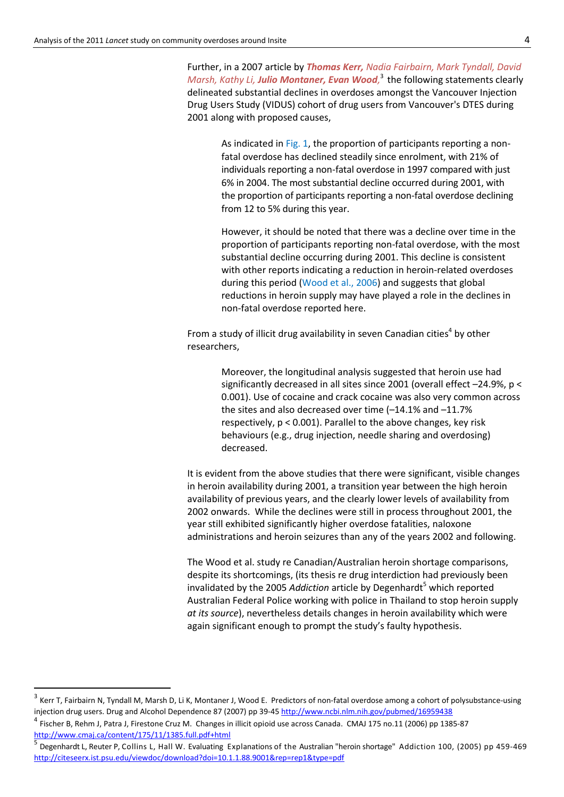Further, in a 2007 article by *Thomas Kerr, Nadia Fairbairn, Mark Tyndall, David Marsh, Kathy Li, Julio Montaner, Evan Wood,* 3 the following statements clearly delineated substantial declines in overdoses amongst the Vancouver Injection Drug Users Study (VIDUS) cohort of drug users from Vancouver's DTES during 2001 along with proposed causes,

As indicated in Fig. 1, the proportion of participants reporting a nonfatal overdose has declined steadily since enrolment, with 21% of individuals reporting a non-fatal overdose in 1997 compared with just 6% in 2004. The most substantial decline occurred during 2001, with the proportion of participants reporting a non-fatal overdose declining from 12 to 5% during this year.

However, it should be noted that there was a decline over time in the proportion of participants reporting non-fatal overdose, with the most substantial decline occurring during 2001. This decline is consistent with other reports indicating a reduction in heroin-related overdoses during this period (Wood et al., 2006) and suggests that global reductions in heroin supply may have played a role in the declines in non-fatal overdose reported here.

From a study of illicit drug availability in seven Canadian cities<sup>4</sup> by other researchers,

> Moreover, the longitudinal analysis suggested that heroin use had significantly decreased in all sites since 2001 (overall effect –24.9%, p < 0.001). Use of cocaine and crack cocaine was also very common across the sites and also decreased over time (–14.1% and –11.7% respectively, p < 0.001). Parallel to the above changes, key risk behaviours (e.g., drug injection, needle sharing and overdosing) decreased.

It is evident from the above studies that there were significant, visible changes in heroin availability during 2001, a transition year between the high heroin availability of previous years, and the clearly lower levels of availability from 2002 onwards. While the declines were still in process throughout 2001, the year still exhibited significantly higher overdose fatalities, naloxone administrations and heroin seizures than any of the years 2002 and following.

The Wood et al. study re Canadian/Australian heroin shortage comparisons, despite its shortcomings, (its thesis re drug interdiction had previously been invalidated by the 2005 *Addiction* article by Degenhardt<sup>5</sup> which reported Australian Federal Police working with police in Thailand to stop heroin supply *at its source*), nevertheless details changes in heroin availability which were again significant enough to prompt the study's faulty hypothesis.

**.** 

<sup>3</sup> Kerr T, Fairbairn N, Tyndall M, Marsh D, Li K, Montaner J, Wood E. Predictors of non-fatal overdose among a cohort of polysubstance-using injection drug users. Drug and Alcohol Dependence 87 (2007) pp 39-45 <http://www.ncbi.nlm.nih.gov/pubmed/16959438>

<sup>4</sup> Fischer B, Rehm J, Patra J, Firestone Cruz M. Changes in illicit opioid use across Canada. CMAJ 175 no.11 (2006) pp 1385-87 <http://www.cmaj.ca/content/175/11/1385.full.pdf+html>

<sup>5</sup> Degenhardt L, Reuter P, Collins L, Hall W. Evaluating Explanations of the Australian "heroin shortage" Addiction 100, (2005) pp 459-469 <http://citeseerx.ist.psu.edu/viewdoc/download?doi=10.1.1.88.9001&rep=rep1&type=pdf>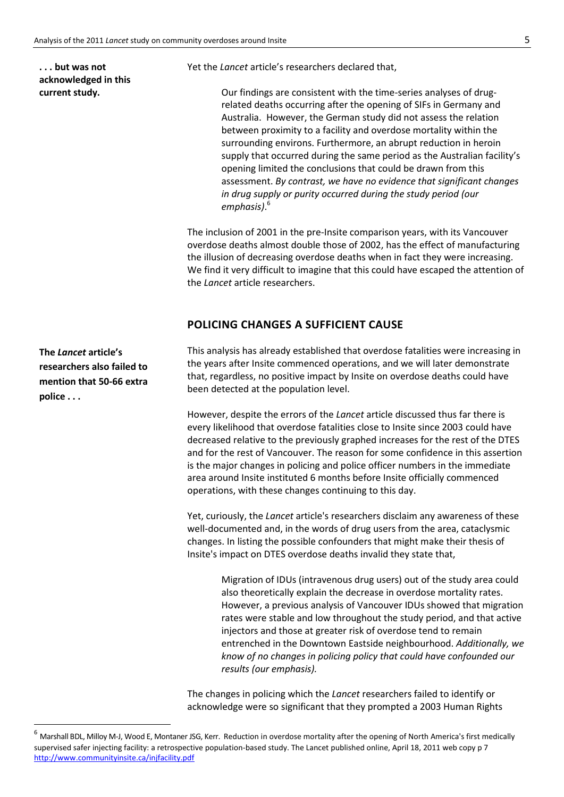**. . . but was not acknowledged in this current study.**

Yet the *Lancet* article's researchers declared that,

Our findings are consistent with the time-series analyses of drugrelated deaths occurring after the opening of SIFs in Germany and Australia. However, the German study did not assess the relation between proximity to a facility and overdose mortality within the surrounding environs. Furthermore, an abrupt reduction in heroin supply that occurred during the same period as the Australian facility's opening limited the conclusions that could be drawn from this assessment. *By contrast, we have no evidence that significant changes in drug supply or purity occurred during the study period (our emphasis)*. 6

The inclusion of 2001 in the pre-Insite comparison years, with its Vancouver overdose deaths almost double those of 2002, has the effect of manufacturing the illusion of decreasing overdose deaths when in fact they were increasing. We find it very difficult to imagine that this could have escaped the attention of the *Lancet* article researchers.

### **POLICING CHANGES A SUFFICIENT CAUSE**

**The** *Lancet* **article's researchers also failed to mention that 50-66 extra police . . .**

**.** 

This analysis has already established that overdose fatalities were increasing in the years after Insite commenced operations, and we will later demonstrate that, regardless, no positive impact by Insite on overdose deaths could have been detected at the population level.

However, despite the errors of the *Lancet* article discussed thus far there is every likelihood that overdose fatalities close to Insite since 2003 could have decreased relative to the previously graphed increases for the rest of the DTES and for the rest of Vancouver. The reason for some confidence in this assertion is the major changes in policing and police officer numbers in the immediate area around Insite instituted 6 months before Insite officially commenced operations, with these changes continuing to this day.

Yet, curiously, the *Lancet* article's researchers disclaim any awareness of these well-documented and, in the words of drug users from the area, cataclysmic changes. In listing the possible confounders that might make their thesis of Insite's impact on DTES overdose deaths invalid they state that,

> Migration of IDUs (intravenous drug users) out of the study area could also theoretically explain the decrease in overdose mortality rates. However, a previous analysis of Vancouver IDUs showed that migration rates were stable and low throughout the study period, and that active injectors and those at greater risk of overdose tend to remain entrenched in the Downtown Eastside neighbourhood. *Additionally, we know of no changes in policing policy that could have confounded our results (our emphasis).*

The changes in policing which the *Lancet* researchers failed to identify or acknowledge were so significant that they prompted a 2003 Human Rights

<sup>6</sup> Marshall BDL, Milloy M-J, Wood E, Montaner JSG, Kerr. Reduction in overdose mortality after the opening of North America's first medically supervised safer injecting facility: a retrospective population-based study. The Lancet published online, April 18, 2011 web copy p 7 <http://www.communityinsite.ca/injfacility.pdf>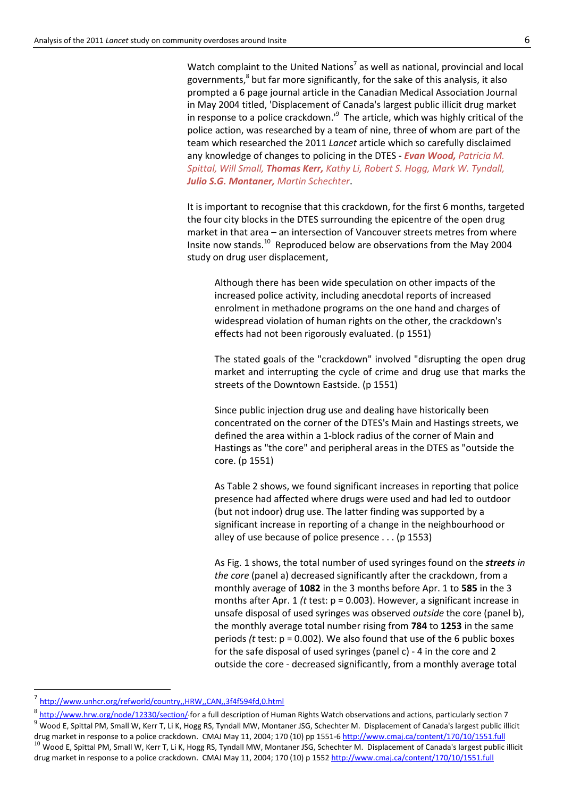Watch complaint to the United Nations<sup>7</sup> as well as national, provincial and local governments,<sup>8</sup> but far more significantly, for the sake of this analysis, it also prompted a 6 page journal article in the Canadian Medical Association Journal in May 2004 titled, 'Displacement of Canada's largest public illicit drug market in response to a police crackdown.<sup>19</sup> The article, which was highly critical of the police action, was researched by a team of nine, three of whom are part of the team which researched the 2011 *Lancet* article which so carefully disclaimed any knowledge of changes to policing in the DTES - *Evan Wood, Patricia M. Spittal, Will Small, Thomas Kerr, Kathy Li, Robert S. Hogg, Mark W. Tyndall, Julio S.G. Montaner, Martin Schechter*.

It is important to recognise that this crackdown, for the first 6 months, targeted the four city blocks in the DTES surrounding the epicentre of the open drug market in that area – an intersection of Vancouver streets metres from where Insite now stands.<sup>10</sup> Reproduced below are observations from the May 2004 study on drug user displacement,

Although there has been wide speculation on other impacts of the increased police activity, including anecdotal reports of increased enrolment in methadone programs on the one hand and charges of widespread violation of human rights on the other, the crackdown's effects had not been rigorously evaluated. (p 1551)

The stated goals of the "crackdown" involved "disrupting the open drug market and interrupting the cycle of crime and drug use that marks the streets of the Downtown Eastside. (p 1551)

Since public injection drug use and dealing have historically been concentrated on the corner of the DTES's Main and Hastings streets, we defined the area within a 1-block radius of the corner of Main and Hastings as "the core" and peripheral areas in the DTES as "outside the core. (p 1551)

As Table 2 shows, we found significant increases in reporting that police presence had affected where drugs were used and had led to outdoor (but not indoor) drug use. The latter finding was supported by a significant increase in reporting of a change in the neighbourhood or alley of use because of police presence . . . (p 1553)

As Fig. 1 shows, the total number of used syringes found on the *streets in the core* (panel a) decreased significantly after the crackdown, from a monthly average of **1082** in the 3 months before Apr. 1 to **585** in the 3 months after Apr. 1 *(t* test: p = 0.003). However, a significant increase in unsafe disposal of used syringes was observed *outside* the core (panel b), the monthly average total number rising from **784** to **1253** in the same periods *(t* test: p = 0.002). We also found that use of the 6 public boxes for the safe disposal of used syringes (panel c) - 4 in the core and 2 outside the core - decreased significantly, from a monthly average total

 $\overline{a}$ 

<sup>7</sup> <http://www.unhcr.org/refworld/country,,HRW,,CAN,,3f4f594fd,0.html>

<sup>8</sup> [http://www.hrw.org/node/12330/section/](http://www.hrw.org/node/12330/section/7)' for a full description of Human Rights Watch observations and actions, particularly section 7  $9$  Wood E, Spittal PM, Small W, Kerr T, Li K, Hogg RS, Tyndall MW, Montaner JSG, Schechter M. Displacement of Canada's largest public illicit drug market in response to a police crackdown. CMAJ May 11, 2004; 170 (10) pp 1551-6 http://www.cmaj.ca/content/170/10/1551.full  $10$  Wood E, Spittal PM, Small W, Kerr T, Li K, Hogg RS, Tyndall MW, Montaner JSG, Schechter M. Displacement of Canada's largest public illicit

drug market in response to a police crackdown. CMAJ May 11, 2004; 170 (10) p 1552 http://www.cmaj.ca/content/170/10/1551.full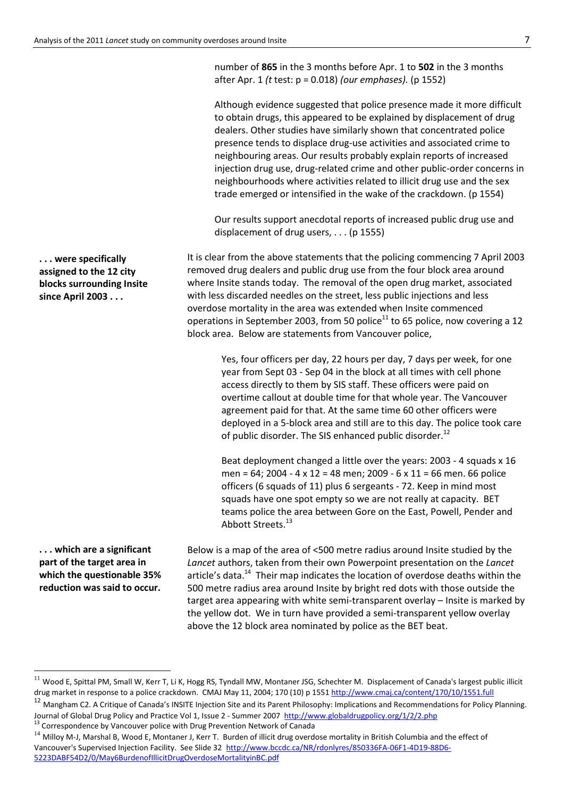**. . . were specifically assigned to the 12 city blocks surrounding Insite since April 2003 . . .**

**. . . which are a significant part of the target area in which the questionable 35% reduction was said to occur.**

1

number of **865** in the 3 months before Apr. 1 to **502** in the 3 months after Apr. 1 *(t* test: p = 0.018) *(our emphases).* (p 1552)

Although evidence suggested that police presence made it more difficult to obtain drugs, this appeared to be explained by displacement of drug dealers. Other studies have similarly shown that concentrated police presence tends to displace drug-use activities and associated crime to neighbouring areas. Our results probably explain reports of increased injection drug use, drug-related crime and other public-order concerns in neighbourhoods where activities related to illicit drug use and the sex trade emerged or intensified in the wake of the crackdown. (p 1554)

Our results support anecdotal reports of increased public drug use and displacement of drug users, . . . (p 1555)

It is clear from the above statements that the policing commencing 7 April 2003 removed drug dealers and public drug use from the four block area around where Insite stands today. The removal of the open drug market, associated with less discarded needles on the street, less public injections and less overdose mortality in the area was extended when Insite commenced operations in September 2003, from 50 police $^{11}$  to 65 police, now covering a 12 block area. Below are statements from Vancouver police,

> Yes, four officers per day, 22 hours per day, 7 days per week, for one year from Sept 03 - Sep 04 in the block at all times with cell phone access directly to them by SIS staff. These officers were paid on overtime callout at double time for that whole year. The Vancouver agreement paid for that. At the same time 60 other officers were deployed in a 5-block area and still are to this day. The police took care of public disorder. The SIS enhanced public disorder.<sup>12</sup>

Beat deployment changed a little over the years: 2003 - 4 squads x 16 men = 64; 2004 - 4 x 12 = 48 men; 2009 - 6 x 11 = 66 men. 66 police officers (6 squads of 11) plus 6 sergeants - 72. Keep in mind most squads have one spot empty so we are not really at capacity. BET teams police the area between Gore on the East, Powell, Pender and Abbott Streets.<sup>13</sup>

Below is a map of the area of <500 metre radius around Insite studied by the *Lancet* authors, taken from their own Powerpoint presentation on the *Lancet* article's data.<sup>14</sup> Their map indicates the location of overdose deaths within the 500 metre radius area around Insite by bright red dots with those outside the target area appearing with white semi-transparent overlay – Insite is marked by the yellow dot. We in turn have provided a semi-transparent yellow overlay above the 12 block area nominated by police as the BET beat.

 $11$  Wood E, Spittal PM, Small W, Kerr T, Li K, Hogg RS, Tyndall MW, Montaner JSG, Schechter M. Displacement of Canada's largest public illicit drug market in response to a police crackdown. CMAJ May 11, 2004; 170 (10) p 1551 http://www.cmaj.ca/content/170/10/1551.full

<sup>&</sup>lt;sup>12</sup> Mangham C2. A Critique of Canada's INSITE Injection Site and its Parent Philosophy: Implications and Recommendations for Policy Planning. Journal of Global Drug Policy and Practice Vol 1, Issue 2 - Summer 2007<http://www.globaldrugpolicy.org/1/2/2.php>

<sup>&</sup>lt;sup>13</sup> Correspondence by Vancouver police with Drug Prevention Network of Canada

 $14$  Milloy M-J, Marshal B, Wood E, Montaner J, Kerr T. Burden of illicit drug overdose mortality in British Columbia and the effect of Vancouver's Supervised Injection Facility. See Slide 32 [http://www.bccdc.ca/NR/rdonlyres/850336FA-06F1-4D19-88D6-](http://www.bccdc.ca/NR/rdonlyres/850336FA-06F1-4D19-88D6-5223DABF54D2/0/May6BurdenofIllicitDrugOverdoseMortalityinBC.pdf) [5223DABF54D2/0/May6BurdenofIllicitDrugOverdoseMortalityinBC.pdf](http://www.bccdc.ca/NR/rdonlyres/850336FA-06F1-4D19-88D6-5223DABF54D2/0/May6BurdenofIllicitDrugOverdoseMortalityinBC.pdf)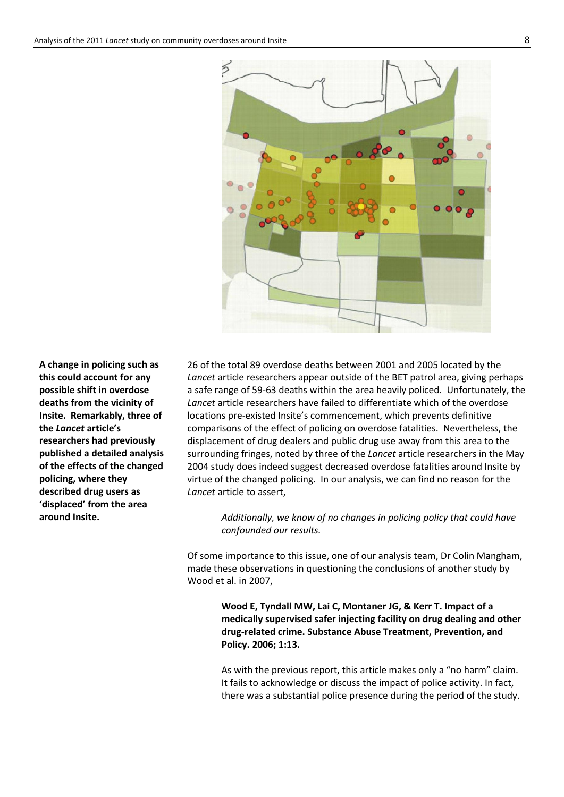

**A change in policing such as this could account for any possible shift in overdose deaths from the vicinity of Insite. Remarkably, three of the** *Lancet* **article's researchers had previously published a detailed analysis of the effects of the changed policing, where they described drug users as 'displaced' from the area around Insite.**

26 of the total 89 overdose deaths between 2001 and 2005 located by the *Lancet* article researchers appear outside of the BET patrol area, giving perhaps a safe range of 59-63 deaths within the area heavily policed. Unfortunately, the *Lancet* article researchers have failed to differentiate which of the overdose locations pre-existed Insite's commencement, which prevents definitive comparisons of the effect of policing on overdose fatalities. Nevertheless, the displacement of drug dealers and public drug use away from this area to the surrounding fringes, noted by three of the *Lancet* article researchers in the May 2004 study does indeed suggest decreased overdose fatalities around Insite by virtue of the changed policing. In our analysis, we can find no reason for the *Lancet* article to assert,

*Additionally, we know of no changes in policing policy that could have confounded our results.*

Of some importance to this issue, one of our analysis team, Dr Colin Mangham, made these observations in questioning the conclusions of another study by Wood et al. in 2007,

> **Wood E, Tyndall MW, Lai C, Montaner JG, & Kerr T. Impact of a medically supervised safer injecting facility on drug dealing and other drug-related crime. Substance Abuse Treatment, Prevention, and Policy. 2006; 1:13.**

> As with the previous report, this article makes only a "no harm" claim. It fails to acknowledge or discuss the impact of police activity. In fact, there was a substantial police presence during the period of the study.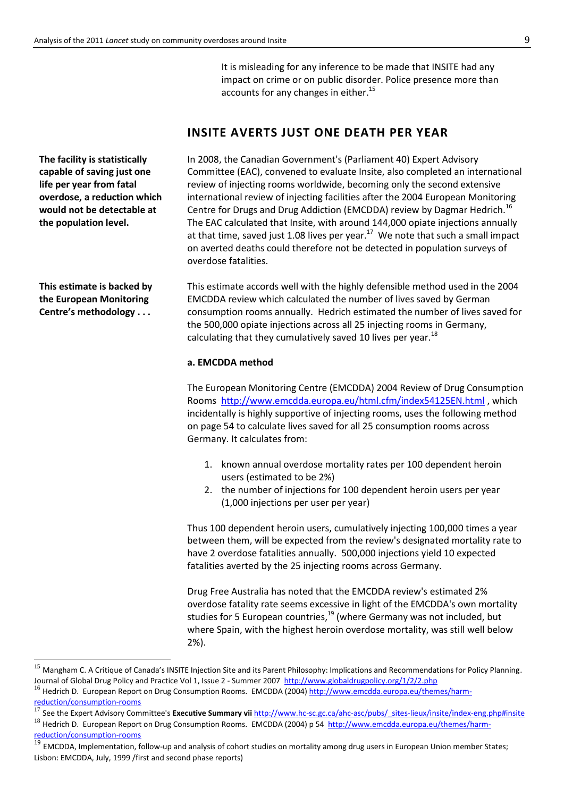It is misleading for any inference to be made that INSITE had any impact on crime or on public disorder. Police presence more than accounts for any changes in either.<sup>15</sup>

# **INSITE AVERTS JUST ONE DEATH PER YEAR**

In 2008, the Canadian Government's (Parliament 40) Expert Advisory Committee (EAC), convened to evaluate Insite, also completed an international review of injecting rooms worldwide, becoming only the second extensive international review of injecting facilities after the 2004 European Monitoring Centre for Drugs and Drug Addiction (EMCDDA) review by Dagmar Hedrich.<sup>16</sup> The EAC calculated that Insite, with around 144,000 opiate injections annually at that time, saved just 1.08 lives per year.<sup>17</sup> We note that such a small impact on averted deaths could therefore not be detected in population surveys of overdose fatalities.

This estimate accords well with the highly defensible method used in the 2004 EMCDDA review which calculated the number of lives saved by German consumption rooms annually. Hedrich estimated the number of lives saved for the 500,000 opiate injections across all 25 injecting rooms in Germany, calculating that they cumulatively saved 10 lives per year.<sup>18</sup>

### **a. EMCDDA method**

The European Monitoring Centre (EMCDDA) 2004 Review of Drug Consumption Rooms <http://www.emcdda.europa.eu/html.cfm/index54125EN.html> , which incidentally is highly supportive of injecting rooms, uses the following method on page 54 to calculate lives saved for all 25 consumption rooms across Germany. It calculates from:

- 1. known annual overdose mortality rates per 100 dependent heroin users (estimated to be 2%)
- 2. the number of injections for 100 dependent heroin users per year (1,000 injections per user per year)

Thus 100 dependent heroin users, cumulatively injecting 100,000 times a year between them, will be expected from the review's designated mortality rate to have 2 overdose fatalities annually. 500,000 injections yield 10 expected fatalities averted by the 25 injecting rooms across Germany.

Drug Free Australia has noted that the EMCDDA review's estimated 2% overdose fatality rate seems excessive in light of the EMCDDA's own mortality studies for 5 European countries,<sup>19</sup> (where Germany was not included, but where Spain, with the highest heroin overdose mortality, was still well below 2%).

[reduction/consumption-rooms](http://www.emcdda.europa.eu/themes/harm-reduction/consumption-rooms)

**.** 

**The facility is statistically capable of saving just one life per year from fatal overdose, a reduction which would not be detectable at the population level.** 

**This estimate is backed by the European Monitoring Centre's methodology . . .**

<sup>&</sup>lt;sup>15</sup> Mangham C. A Critique of Canada's INSITE Injection Site and its Parent Philosophy: Implications and Recommendations for Policy Planning. Journal of Global Drug Policy and Practice Vol 1, Issue 2 - Summer 2007<http://www.globaldrugpolicy.org/1/2/2.php>

<sup>&</sup>lt;sup>16</sup> Hedrich D. European Report on Drug Consumption Rooms. EMCDDA (2004) [http://www.emcdda.europa.eu/themes/harm-](http://www.emcdda.europa.eu/themes/harm-reduction/consumption-rooms)

<sup>17</sup> See the Expert Advisory Committee's **Executive Summary vii** [http://www.hc-sc.gc.ca/ahc-asc/pubs/\\_sites-lieux/insite/index-eng.php#insite](http://www.hc-sc.gc.ca/ahc-asc/pubs/_sites-lieux/insite/index-eng.php#insite)

<sup>&</sup>lt;sup>18</sup> Hedrich D. European Report on Drug Consumption Rooms. EMCDDA (2004) p 54 [http://www.emcdda.europa.eu/themes/harm](http://www.emcdda.europa.eu/themes/harm-reduction/consumption-rooms)[reduction/consumption-rooms](http://www.emcdda.europa.eu/themes/harm-reduction/consumption-rooms)

<sup>&</sup>lt;sup>19</sup> EMCDDA, Implementation, follow-up and analysis of cohort studies on mortality among drug users in European Union member States; Lisbon: EMCDDA, July, 1999 /first and second phase reports)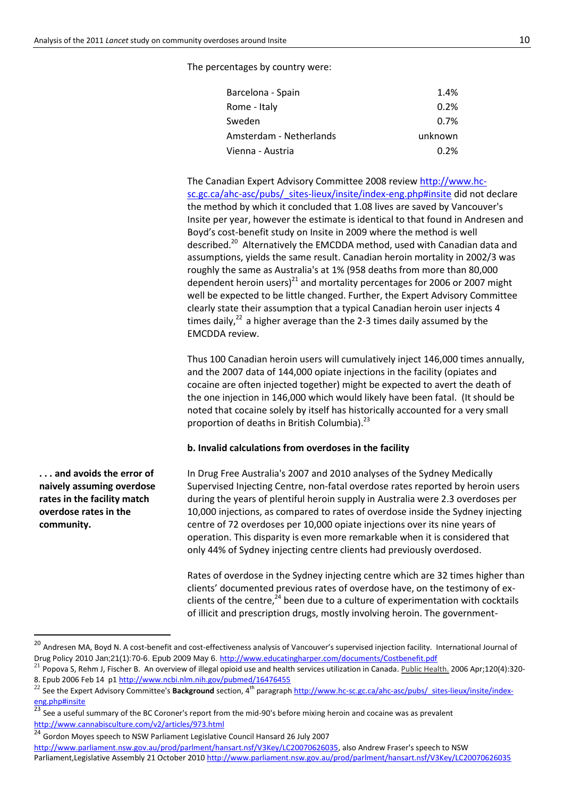The percentages by country were:

| Barcelona - Spain       | 1.4%    |
|-------------------------|---------|
| Rome - Italy            | 0.2%    |
| Sweden                  | 0.7%    |
| Amsterdam - Netherlands | unknown |
| Vienna - Austria        | 0.2%    |

The Canadian Expert Advisory Committee 2008 review [http://www.hc](http://www.hc-sc.gc.ca/ahc-asc/pubs/_sites-lieux/insite/index-eng.php#insite)[sc.gc.ca/ahc-asc/pubs/\\_sites-lieux/insite/index-eng.php#insite](http://www.hc-sc.gc.ca/ahc-asc/pubs/_sites-lieux/insite/index-eng.php#insite) did not declare the method by which it concluded that 1.08 lives are saved by Vancouver's Insite per year, however the estimate is identical to that found in Andresen and Boyd's cost-benefit study on Insite in 2009 where the method is well described.<sup>20</sup> Alternatively the EMCDDA method, used with Canadian data and assumptions, yields the same result. Canadian heroin mortality in 2002/3 was roughly the same as Australia's at 1% (958 deaths from more than 80,000 dependent heroin users)<sup>21</sup> and mortality percentages for 2006 or 2007 might well be expected to be little changed. Further, the Expert Advisory Committee clearly state their assumption that a typical Canadian heroin user injects 4 times daily, $^{22}$  a higher average than the 2-3 times daily assumed by the EMCDDA review.

Thus 100 Canadian heroin users will cumulatively inject 146,000 times annually, and the 2007 data of 144,000 opiate injections in the facility (opiates and cocaine are often injected together) might be expected to avert the death of the one injection in 146,000 which would likely have been fatal. (It should be noted that cocaine solely by itself has historically accounted for a very small proportion of deaths in British Columbia).<sup>23</sup>

#### **b. Invalid calculations from overdoses in the facility**

In Drug Free Australia's 2007 and 2010 analyses of the Sydney Medically Supervised Injecting Centre, non-fatal overdose rates reported by heroin users during the years of plentiful heroin supply in Australia were 2.3 overdoses per 10,000 injections, as compared to rates of overdose inside the Sydney injecting centre of 72 overdoses per 10,000 opiate injections over its nine years of operation. This disparity is even more remarkable when it is considered that only 44% of Sydney injecting centre clients had previously overdosed.

Rates of overdose in the Sydney injecting centre which are 32 times higher than clients' documented previous rates of overdose have, on the testimony of exclients of the centre, $^{24}$  been due to a culture of experimentation with cocktails of illicit and prescription drugs, mostly involving heroin. The government-

[http://www.parliament.nsw.gov.au/prod/parlment/hansart.nsf/V3Key/LC20070626035,](http://www.parliament.nsw.gov.au/prod/parlment/hansart.nsf/V3Key/LC20070626035) also Andrew Fraser's speech to NSW Parliament,Legislative Assembly 21 October 2010 <http://www.parliament.nsw.gov.au/prod/parlment/hansart.nsf/V3Key/LC20070626035>

**. . . and avoids the error of naively assuming overdose rates in the facility match overdose rates in the community.** 

1

<sup>&</sup>lt;sup>20</sup> Andresen MA, Boyd N. A cost-benefit and cost-effectiveness analysis of Vancouver's supervised injection facility. International Journal of Drug Policy 2010 Jan;21(1):70-6. Epub 2009 May 6. <http://www.educatingharper.com/documents/Costbenefit.pdf>

 $^{21}$  Popova S, Rehm J, Fischer B. An overview of illegal opioid use and health services utilization in Canada[. Public Health.](http://www.ncbi.nlm.nih.gov/pubmed/16476455) 2006 Apr;120(4):320-8. Epub 2006 Feb 14 p[1 http://www.ncbi.nlm.nih.gov/pubmed/16476455](http://www.ncbi.nlm.nih.gov/pubmed/16476455)

<sup>&</sup>lt;sup>22</sup> See the Expert Advisory Committee's **Background** section, 4<sup>th</sup> paragraph [http://www.hc-sc.gc.ca/ahc-asc/pubs/\\_sites-lieux/insite/index](http://www.hc-sc.gc.ca/ahc-asc/pubs/_sites-lieux/insite/index-eng.php#insite)[eng.php#insite](http://www.hc-sc.gc.ca/ahc-asc/pubs/_sites-lieux/insite/index-eng.php#insite)

See a useful summary of the BC Coroner's report from the mid-90's before mixing heroin and cocaine was as prevalent <http://www.cannabisculture.com/v2/articles/973.html>

<sup>24</sup> Gordon Moyes speech to NSW Parliament Legislative Council Hansard 26 July 2007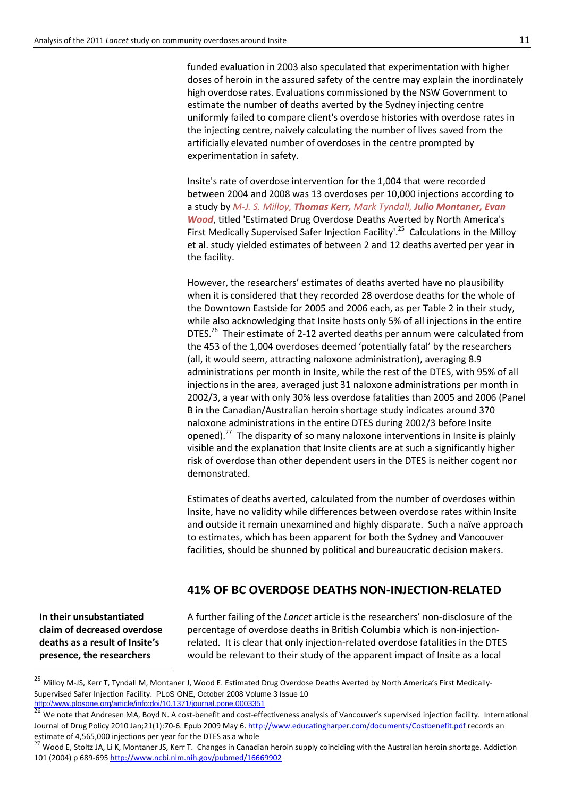funded evaluation in 2003 also speculated that experimentation with higher doses of heroin in the assured safety of the centre may explain the inordinately high overdose rates. Evaluations commissioned by the NSW Government to estimate the number of deaths averted by the Sydney injecting centre uniformly failed to compare client's overdose histories with overdose rates in the injecting centre, naively calculating the number of lives saved from the artificially elevated number of overdoses in the centre prompted by experimentation in safety.

Insite's rate of overdose intervention for the 1,004 that were recorded between 2004 and 2008 was 13 overdoses per 10,000 injections according to a study by *M-J. S. Milloy, Thomas Kerr, Mark Tyndall, Julio Montaner, Evan Wood*, titled 'Estimated Drug Overdose Deaths Averted by North America's First Medically Supervised Safer Injection Facility<sup>'.25</sup> Calculations in the Milloy et al. study yielded estimates of between 2 and 12 deaths averted per year in the facility.

However, the researchers' estimates of deaths averted have no plausibility when it is considered that they recorded 28 overdose deaths for the whole of the Downtown Eastside for 2005 and 2006 each, as per Table 2 in their study, while also acknowledging that Insite hosts only 5% of all injections in the entire DTES.<sup>26</sup> Their estimate of 2-12 averted deaths per annum were calculated from the 453 of the 1,004 overdoses deemed 'potentially fatal' by the researchers (all, it would seem, attracting naloxone administration), averaging 8.9 administrations per month in Insite, while the rest of the DTES, with 95% of all injections in the area, averaged just 31 naloxone administrations per month in 2002/3, a year with only 30% less overdose fatalities than 2005 and 2006 (Panel B in the Canadian/Australian heroin shortage study indicates around 370 naloxone administrations in the entire DTES during 2002/3 before Insite opened).<sup>27</sup> The disparity of so many naloxone interventions in Insite is plainly visible and the explanation that Insite clients are at such a significantly higher risk of overdose than other dependent users in the DTES is neither cogent nor demonstrated.

Estimates of deaths averted, calculated from the number of overdoses within Insite, have no validity while differences between overdose rates within Insite and outside it remain unexamined and highly disparate. Such a naïve approach to estimates, which has been apparent for both the Sydney and Vancouver facilities, should be shunned by political and bureaucratic decision makers.

### **41% OF BC OVERDOSE DEATHS NON-INJECTION-RELATED**

**In their unsubstantiated claim of decreased overdose deaths as a result of Insite's presence, the researchers** 

 $\overline{a}$ 

A further failing of the *Lancet* article is the researchers' non-disclosure of the percentage of overdose deaths in British Columbia which is non-injectionrelated. It is clear that only injection-related overdose fatalities in the DTES would be relevant to their study of the apparent impact of Insite as a local

<sup>&</sup>lt;sup>25</sup> Millov M-JS, Kerr T, Tyndall M, Montaner J, Wood E. Estimated Drug Overdose Deaths Averted by North America's First Medically-Supervised Safer Injection Facility. PLoS ONE, October 2008 Volume 3 Issue 10 <http://www.plosone.org/article/info:doi/10.1371/journal.pone.0003351>

<sup>&</sup>lt;sup>26</sup> We note that Andresen MA, Boyd N. A cost-benefit and cost-effectiveness analysis of Vancouver's supervised injection facility. International Journal of Drug Policy 2010 Jan;21(1):70-6. Epub 2009 May 6[. http://www.educatingharper.com/documents/Costbenefit.pdf](http://www.educatingharper.com/documents/Costbenefit.pdf) records an estimate of 4,565,000 injections per year for the DTES as a whole

<sup>27</sup> Wood E, Stoltz JA, Li K, Montaner JS, Kerr T. Changes in Canadian heroin supply coinciding with the Australian heroin shortage. Addiction 101 (2004) p 689-695 <http://www.ncbi.nlm.nih.gov/pubmed/16669902>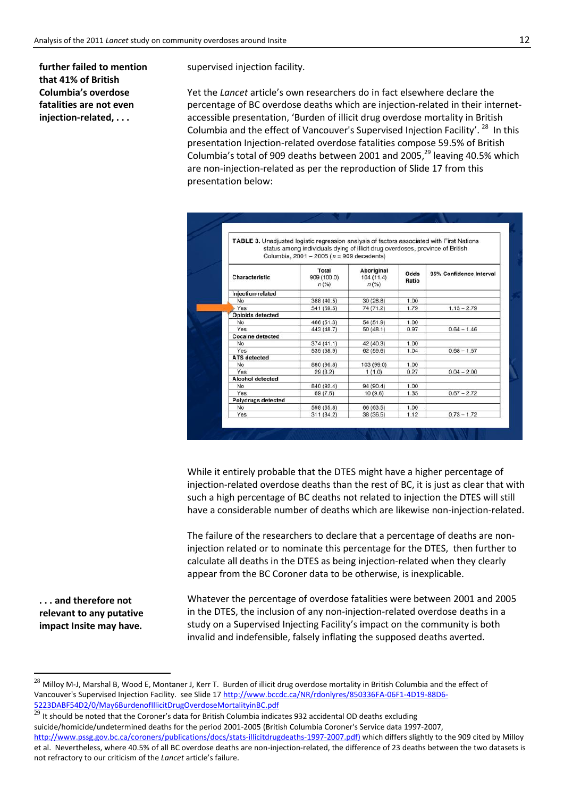**further failed to mention that 41% of British Columbia's overdose fatalities are not even injection-related, . . .**

supervised injection facility.

Yet the *Lancet* article's own researchers do in fact elsewhere declare the percentage of BC overdose deaths which are injection-related in their internetaccessible presentation, 'Burden of illicit drug overdose mortality in British Columbia and the effect of Vancouver's Supervised Injection Facility'.<sup>28</sup> In this presentation Injection-related overdose fatalities compose 59.5% of British Columbia's total of 909 deaths between 2001 and 2005,<sup>29</sup> leaving 40.5% which are non-injection-related as per the reproduction of Slide 17 from this presentation below:

| <b>TABLE 3.</b> Unadjusted logistic regression analysis of factors associated with First Nations | status among individuals dying of illicit drug overdoses, province of British<br>Columbia, 2001 - 2005 ( $n = 909$ decedents) |                                    |               |                         |  |
|--------------------------------------------------------------------------------------------------|-------------------------------------------------------------------------------------------------------------------------------|------------------------------------|---------------|-------------------------|--|
| Characteristic                                                                                   | Total<br>909 (100.0)<br>n(%)                                                                                                  | Aboriginal<br>104(11.4)<br>$n$ (%) | Odds<br>Ratio | 95% Confidence Interval |  |
| Injection-related                                                                                |                                                                                                                               |                                    |               |                         |  |
| No                                                                                               | 368 (40.5)                                                                                                                    | 30(28.8)                           | 1.00          |                         |  |
| Yes                                                                                              | 541 (59.5)                                                                                                                    | 74 (71.2)                          | 1.79          | $1.13 - 2.79$           |  |
| <b>Opioids detected</b>                                                                          |                                                                                                                               |                                    |               |                         |  |
| No                                                                                               | 466 (51.3)                                                                                                                    | 54 (51.9)                          | 1.00          |                         |  |
| Yes                                                                                              | 443 (48.7)                                                                                                                    | 50(48.1)                           | 0.97          | $0.64 - 1.46$           |  |
| <b>Cocaine detected</b>                                                                          |                                                                                                                               |                                    |               |                         |  |
| No                                                                                               | 374(41.1)                                                                                                                     | 42 (40.3)                          | 1.00          |                         |  |
| Yes                                                                                              | 535 (58.9)                                                                                                                    | 62 (59.6)                          | 1.04          | $0.68 - 1.57$           |  |
| <b>ATS</b> detected                                                                              |                                                                                                                               |                                    |               |                         |  |
| No                                                                                               | 880 (96.8)                                                                                                                    | 103 (99.0)                         | 1.00          |                         |  |
| Yes                                                                                              | 29(3.2)                                                                                                                       | 1(1.0)                             | 0.27          | $0.04 - 2.00$           |  |
| <b>Alcohol detected</b>                                                                          |                                                                                                                               |                                    |               |                         |  |
| No                                                                                               | 840 (92.4)                                                                                                                    | 94 (90.4)                          | 1.00          |                         |  |
| Yes                                                                                              | 69 (7.6)                                                                                                                      | 10(9.6)                            | 1.35          | $0.67 - 2.72$           |  |
| <b>Polydrugs detected</b>                                                                        |                                                                                                                               |                                    |               |                         |  |
| <b>No</b>                                                                                        | 598 (65.8)                                                                                                                    | 66 (63.5)                          | 1.00          |                         |  |
| Yes                                                                                              | 311 (34.2)                                                                                                                    | 38 (36.5)                          | 1.12          | $0.73 - 1.72$           |  |

While it entirely probable that the DTES might have a higher percentage of injection-related overdose deaths than the rest of BC, it is just as clear that with such a high percentage of BC deaths not related to injection the DTES will still have a considerable number of deaths which are likewise non-injection-related.

The failure of the researchers to declare that a percentage of deaths are noninjection related or to nominate this percentage for the DTES, then further to calculate all deaths in the DTES as being injection-related when they clearly appear from the BC Coroner data to be otherwise, is inexplicable.

**. . . and therefore not relevant to any putative impact Insite may have.**

**.** 

Whatever the percentage of overdose fatalities were between 2001 and 2005 in the DTES, the inclusion of any non-injection-related overdose deaths in a study on a Supervised Injecting Facility's impact on the community is both invalid and indefensible, falsely inflating the supposed deaths averted.

 $^{28}$  Milloy M-J, Marshal B, Wood E, Montaner J, Kerr T. Burden of illicit drug overdose mortality in British Columbia and the effect of Vancouver's Supervised Injection Facility. see Slide 17 [http://www.bccdc.ca/NR/rdonlyres/850336FA-06F1-4D19-88D6-](http://www.bccdc.ca/NR/rdonlyres/850336FA-06F1-4D19-88D6-5223DABF54D2/0/May6BurdenofIllicitDrugOverdoseMortalityinBC.pdf) [5223DABF54D2/0/May6BurdenofIllicitDrugOverdoseMortalityinBC.pdf](http://www.bccdc.ca/NR/rdonlyres/850336FA-06F1-4D19-88D6-5223DABF54D2/0/May6BurdenofIllicitDrugOverdoseMortalityinBC.pdf)

<sup>223</sup> DADI 3422 U. Maybell denominate specifies a strategy in the U.S. of the State of the Coroner's data for British Columbia indicates 932 accidental OD deaths excluding suicide/homicide/undetermined deaths for the period 2001-2005 (British Columbia Coroner's Service data 1997-2007, [http://www.pssg.gov.bc.ca/coroners/publications/docs/stats-illicitdrugdeaths-1997-2007.pdf\)](http://www.pssg.gov.bc.ca/coroners/publications/docs/stats-illicitdrugdeaths-1997-2007.pdf) which differs slightly to the 909 cited by Milloy

et al. Nevertheless, where 40.5% of all BC overdose deaths are non-injection-related, the difference of 23 deaths between the two datasets is not refractory to our criticism of the *Lancet* article's failure.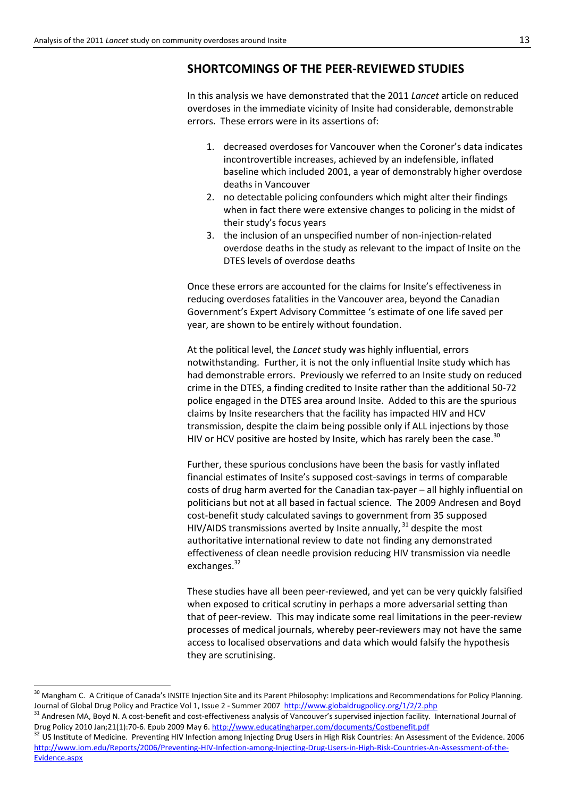# **SHORTCOMINGS OF THE PEER-REVIEWED STUDIES**

In this analysis we have demonstrated that the 2011 *Lancet* article on reduced overdoses in the immediate vicinity of Insite had considerable, demonstrable errors. These errors were in its assertions of:

- 1. decreased overdoses for Vancouver when the Coroner's data indicates incontrovertible increases, achieved by an indefensible, inflated baseline which included 2001, a year of demonstrably higher overdose deaths in Vancouver
- 2. no detectable policing confounders which might alter their findings when in fact there were extensive changes to policing in the midst of their study's focus years
- 3. the inclusion of an unspecified number of non-injection-related overdose deaths in the study as relevant to the impact of Insite on the DTES levels of overdose deaths

Once these errors are accounted for the claims for Insite's effectiveness in reducing overdoses fatalities in the Vancouver area, beyond the Canadian Government's Expert Advisory Committee 's estimate of one life saved per year, are shown to be entirely without foundation.

At the political level, the *Lancet* study was highly influential, errors notwithstanding. Further, it is not the only influential Insite study which has had demonstrable errors. Previously we referred to an Insite study on reduced crime in the DTES, a finding credited to Insite rather than the additional 50-72 police engaged in the DTES area around Insite. Added to this are the spurious claims by Insite researchers that the facility has impacted HIV and HCV transmission, despite the claim being possible only if ALL injections by those HIV or HCV positive are hosted by Insite, which has rarely been the case.<sup>30</sup>

Further, these spurious conclusions have been the basis for vastly inflated financial estimates of Insite's supposed cost-savings in terms of comparable costs of drug harm averted for the Canadian tax-payer – all highly influential on politicians but not at all based in factual science. The 2009 Andresen and Boyd cost-benefit study calculated savings to government from 35 supposed HIV/AIDS transmissions averted by Insite annually,  $31$  despite the most authoritative international review to date not finding any demonstrated effectiveness of clean needle provision reducing HIV transmission via needle exchanges.<sup>32</sup>

These studies have all been peer-reviewed, and yet can be very quickly falsified when exposed to critical scrutiny in perhaps a more adversarial setting than that of peer-review. This may indicate some real limitations in the peer-review processes of medical journals, whereby peer-reviewers may not have the same access to localised observations and data which would falsify the hypothesis they are scrutinising.

1

<sup>&</sup>lt;sup>30</sup> Mangham C. A Critique of Canada's INSITE Injection Site and its Parent Philosophy: Implications and Recommendations for Policy Planning. Journal of Global Drug Policy and Practice Vol 1, Issue 2 - Summer 2007<http://www.globaldrugpolicy.org/1/2/2.php>

<sup>&</sup>lt;sup>31</sup> Andresen MA, Boyd N. A cost-benefit and cost-effectiveness analysis of Vancouver's supervised injection facility. International Journal of Drug Policy 2010 Jan;21(1):70-6. Epub 2009 May 6.<http://www.educatingharper.com/documents/Costbenefit.pdf>

<sup>&</sup>lt;sup>32</sup> US Institute of Medicine. Preventing HIV Infection among Injecting Drug Users in High Risk Countries: An Assessment of the Evidence. 2006 [http://www.iom.edu/Reports/2006/Preventing-HIV-Infection-among-Injecting-Drug-Users-in-High-Risk-Countries-An-Assessment-of-the-](http://www.iom.edu/Reports/2006/Preventing-HIV-Infection-among-Injecting-Drug-Users-in-High-Risk-Countries-An-Assessment-of-the-Evidence.aspx)[Evidence.aspx](http://www.iom.edu/Reports/2006/Preventing-HIV-Infection-among-Injecting-Drug-Users-in-High-Risk-Countries-An-Assessment-of-the-Evidence.aspx)